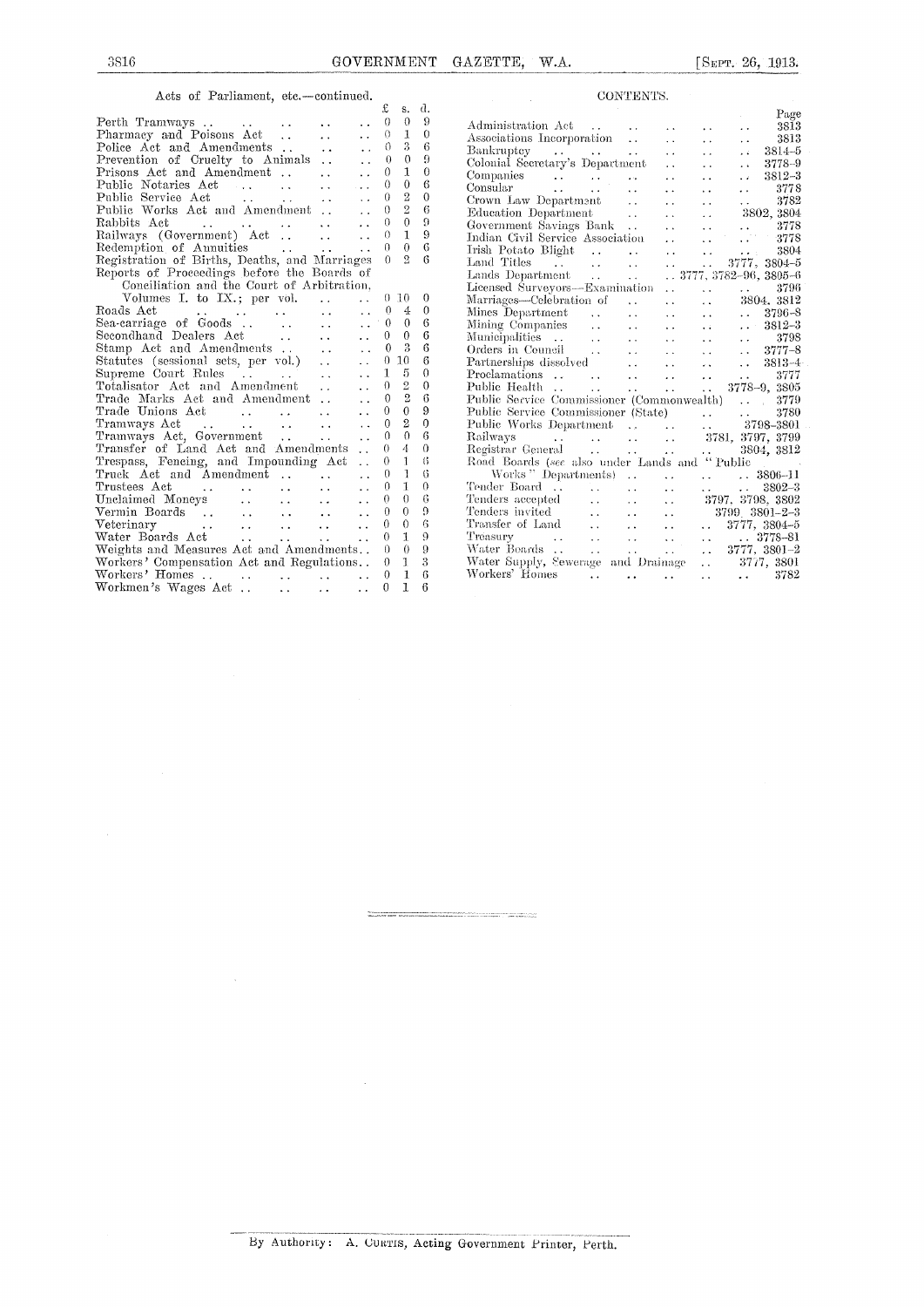$\bar{\epsilon}$ 

 $\lambda$ 

Acts of Parliament, etc.-continued.

|                                                                                                                                         |                                                         |                      | £              | s.               | d.             |  |
|-----------------------------------------------------------------------------------------------------------------------------------------|---------------------------------------------------------|----------------------|----------------|------------------|----------------|--|
|                                                                                                                                         |                                                         |                      | $\theta$       | $\Omega$         | 9              |  |
| Perth Tramways<br>Pharmacy and Poisons Act<br>$\ddotsc$                                                                                 | $\ddotsc$                                               |                      | 0              | $\mathbf{1}$     | $\theta$       |  |
| Police Act and Amendments                                                                                                               | $\ddot{\phantom{a}}$                                    |                      | $\Omega$       | 3                | 6              |  |
| Prevention of Cruelty to Animals                                                                                                        |                                                         |                      | $\theta$       | $\theta$         | 9              |  |
|                                                                                                                                         | $\mathbf{r}$                                            | $\ddot{\phantom{a}}$ | $\theta$       | 1                | $\theta$       |  |
| Prisons Act and Amendment<br>Public Notaries Act                                                                                        | $\ddotsc$                                               |                      | $\theta$       | $\theta$         | 6              |  |
| Public Service Act<br>$\mathcal{L}^{\mathcal{A}}$ and $\mathcal{L}^{\mathcal{A}}$ are all the following the $\mathcal{L}^{\mathcal{A}}$ | $\sim$ $\sim$                                           |                      | 0              | $\overline{2}$   | 0              |  |
| Public Works Act and Amendment                                                                                                          |                                                         |                      | $\Omega$       | $\overline{2}$   | 6              |  |
| Rabbits Act                                                                                                                             | $\mathcal{L}(\mathbf{r})$ and $\mathcal{L}(\mathbf{r})$ |                      | $\Omega$       | $\theta$         | $\Omega$       |  |
|                                                                                                                                         |                                                         | i.                   | $\theta$       | T                | 9              |  |
|                                                                                                                                         |                                                         |                      | 0              | $\theta$         | 6              |  |
| Redemption of Annuities<br>Registration of Births, Deaths, and Marriages                                                                |                                                         |                      | $\Omega$       | $^{9}$           | 6              |  |
| Reports of Proceedings before the Boards of                                                                                             |                                                         |                      |                |                  |                |  |
| Conciliation and the Court of Arbitration,                                                                                              |                                                         |                      |                |                  |                |  |
| Volumes I. to $IX.$ ; per vol                                                                                                           |                                                         | $\mathbf{r}$         |                | 0, 10            | 0              |  |
|                                                                                                                                         | $\mathcal{L}(\mathbf{z})$ and $\mathcal{L}(\mathbf{z})$ | $\sim$ $\sim$        | $\Omega$       | 4                | $\theta$       |  |
|                                                                                                                                         | $\sim 10^{11}$ m $^{-1}$                                | $\ddotsc$            | $\theta$       | $\Omega$         | 6              |  |
| Secondhand Dealers Act                                                                                                                  |                                                         | $\ddot{\phantom{a}}$ | 0              | $\theta$         | 6              |  |
| Stamp Act and Amendments                                                                                                                |                                                         | $\ddot{\phantom{a}}$ | $\Omega$       | $\boldsymbol{3}$ | 6              |  |
| Statutes (sessional sets, per vol.)                                                                                                     |                                                         | $\ddot{\phantom{0}}$ | 0              | 10               | 6              |  |
| Supreme Court Rules<br>a (150 milion) e contro                                                                                          |                                                         |                      | $\overline{1}$ | 5                | $\theta$       |  |
| Totalisator Act and Amendment<br>$\sim 10^{11}$ m $^{-1}$                                                                               |                                                         |                      | $\theta$       | $\overline{2}$   | $\overline{0}$ |  |
| Trade Marks Act and Amendment                                                                                                           |                                                         |                      | 0              | $\overline{2}$   | 6              |  |
| Trade Unions Act<br>Tramways Act (1999)<br>Tramways Act, Government (1999)                                                              | $\mathbf{A}$                                            |                      | 0              | $\theta$         | 9              |  |
|                                                                                                                                         | $\langle \varphi_{\bullet} \rangle$                     | $\ddot{\phantom{a}}$ | $\Omega$       | $\overline{2}$   | $\theta$       |  |
|                                                                                                                                         | $\ddotsc$                                               | $\ddot{\phantom{a}}$ | $\Omega$       | $\Omega$         | 6              |  |
| Transfer of Land Act and Amendments                                                                                                     |                                                         | $\ddot{\phantom{a}}$ | $\theta$       | 4                | $\theta$       |  |
| Trespass, Fencing, and Impounding Act                                                                                                   |                                                         | $\ddot{\phantom{0}}$ | $\Omega$       | 1                | 6              |  |
| Truck Act and Amendment                                                                                                                 |                                                         | $\ddot{\phantom{0}}$ | 0              | $\mathbf{1}$     | 6              |  |
| Trustees Act<br>المتوارث ووالمتوارث                                                                                                     | $\mathbf{L}$                                            | $\ddotsc$            | 0              | $\mathbf{I}$     | $\theta$       |  |
| Unclaimed Moneys                                                                                                                        | $\mathbf{L}$ and $\mathbf{L}$                           | $\ddot{\phantom{0}}$ | $\Omega$       | $\theta$         | 6              |  |
| Vermin Boards                                                                                                                           | $\Delta\Delta\sim 1$                                    | $\ddot{\phantom{a}}$ | $\theta$       | $\theta$         | 9              |  |
|                                                                                                                                         | $\mathbf{1}$ , $\mathbf{1}$                             | $\ddot{\phantom{a}}$ | $\Omega$       | $\Omega$         | 6              |  |
|                                                                                                                                         | $\sim 10^{-1}$                                          |                      | $\theta$       | 1                | 9              |  |
| Weights and Measures Act and Amendments                                                                                                 |                                                         |                      | $\theta$       | $\theta$         | 9              |  |
| Workers' Compensation Act and Regulations                                                                                               |                                                         |                      | 0              | 1                | 3              |  |
|                                                                                                                                         |                                                         |                      | $\Omega$       | $\mathbf{1}$     | 6              |  |
| Workmen's Wages Act<br>a and the                                                                                                        | $\mathbf{r}$ , $\mathbf{r}$                             | $\ddot{\phantom{a}}$ | 0              | 1                | 6              |  |
|                                                                                                                                         |                                                         |                      |                |                  |                |  |

|                                                                                                                                                                                                                           |                               | CONTENTS.                                                     |                                   |                                          |                                                                                                                  |
|---------------------------------------------------------------------------------------------------------------------------------------------------------------------------------------------------------------------------|-------------------------------|---------------------------------------------------------------|-----------------------------------|------------------------------------------|------------------------------------------------------------------------------------------------------------------|
|                                                                                                                                                                                                                           |                               |                                                               |                                   |                                          | Page                                                                                                             |
| Administration Act                                                                                                                                                                                                        |                               |                                                               |                                   | $\ddot{\phantom{1}}$                     | - 3813<br>$\ddot{\phantom{0}}$                                                                                   |
| Administration Act<br>Associations Incorporation                                                                                                                                                                          |                               |                                                               | $\ddot{\phantom{1}}$              | $\ddot{\phantom{1}}$                     | 3813<br>$\ddot{\phantom{0}}$                                                                                     |
| Bankruptcy<br>Colonial Secretary's Department                                                                                                                                                                             |                               |                                                               | $\ddot{\phantom{0}}$              | i.                                       | 3814-5<br>$\ddot{\phantom{a}}$                                                                                   |
|                                                                                                                                                                                                                           |                               |                                                               | $\ddot{\phantom{0}}$              | $\ddot{\phantom{0}}$                     | 3778-9<br>$\ddot{\phantom{1}}$                                                                                   |
|                                                                                                                                                                                                                           |                               |                                                               | $\ddot{\phantom{a}}$              | $\ddot{\phantom{0}}$                     | 3812-3<br>$\mathbf{r}$                                                                                           |
| Companies<br>Consular                                                                                                                                                                                                     |                               |                                                               | $\ddot{\phantom{a}}$              | $\ddot{\phantom{0}}$                     | 3778<br>$\ddot{\phantom{0}}$                                                                                     |
| Crown Law Department                                                                                                                                                                                                      |                               |                                                               | $\ddot{\phantom{a}}$              | $\ddot{\phantom{a}}$                     | $\ldots$ 3782                                                                                                    |
| Education Department                                                                                                                                                                                                      | <b>Contractor</b>             |                                                               | i.                                | $\ddot{\phantom{0}}$                     | 3802, 3804                                                                                                       |
| Government Savings Bank                                                                                                                                                                                                   |                               |                                                               | . .                               | $\mathbf{r}$                             |                                                                                                                  |
| Indian Civil Service Association                                                                                                                                                                                          |                               |                                                               | $\ddot{\phantom{0}}$              | $\mathbf{r}$                             | $\begin{array}{r} 3778 \\ 3778 \end{array}$                                                                      |
|                                                                                                                                                                                                                           |                               |                                                               | $\ddot{\phantom{a}}$              | $\ddot{\phantom{a}}$                     | 3804<br>$\sim 10^{-1}$                                                                                           |
|                                                                                                                                                                                                                           |                               | $\sim$ $\sim$                                                 | $\mathbf{r}$ .                    | $\frac{1}{2}$                            | 3777, 3804-5                                                                                                     |
|                                                                                                                                                                                                                           |                               | <b>College</b>                                                |                                   |                                          | $\ldots$ 3777, 3782-96, 3805-6                                                                                   |
| Licensed Surveyors-Examination                                                                                                                                                                                            |                               |                                                               | $\ddot{\phantom{a}}$              |                                          |                                                                                                                  |
| Marriages—Celebration of                                                                                                                                                                                                  |                               | $\ddot{\phantom{a}}$                                          | <b>Contractor</b>                 |                                          | $\begin{array}{ccc}\n & \dots & \dots & 3796 \\ \therefore & 3804 & 3812\n\end{array}$                           |
| Mines Department                                                                                                                                                                                                          | $\sim 100$                    | $\ddot{\phantom{a}}$                                          | 44                                | $\mathbf{r} \in \mathbb{R}^{n \times n}$ | $\ldots$ 3796-8                                                                                                  |
|                                                                                                                                                                                                                           |                               | $\ddot{\phantom{a}}$                                          | i.                                | $\ddot{\phantom{a}}$                     | $\cdots$ 3812-3                                                                                                  |
| Mining Companies<br>Municipalities                                                                                                                                                                                        | $\sim 10^{-1}$                | $\ddot{\phantom{a}}$                                          | $\ddot{\phantom{a}}$              | $\ddot{\phantom{a}}$                     |                                                                                                                  |
| Orders in Council                                                                                                                                                                                                         |                               | $\ddot{\phantom{a}}$                                          | $\ddotsc$                         | $\ddot{\phantom{a}}$                     |                                                                                                                  |
| Partnerships dissolved                                                                                                                                                                                                    |                               |                                                               | $\sim$                            | $\sim 10^{-1}$                           | $\therefore$ 3813-4                                                                                              |
|                                                                                                                                                                                                                           |                               |                                                               | <b>Contract Contract Contract</b> |                                          | $\ldots$ 3777                                                                                                    |
| Public Health                                                                                                                                                                                                             | $\sim 100$                    |                                                               |                                   |                                          | $\ldots$ $\ldots$ $\ldots$ 3778-9, 3805                                                                          |
| Public Service Commissioner (Commonwealth) . 3779                                                                                                                                                                         |                               |                                                               |                                   |                                          |                                                                                                                  |
| Public Service Commissioner (State)<br>Public Norks Department<br>Railways<br>Registrar General<br>Railways<br>Registrar General<br>All Commissioner (State)<br>2004, 3797, 3799<br>Registrar General<br>2004, 3804, 3812 |                               |                                                               |                                   |                                          |                                                                                                                  |
|                                                                                                                                                                                                                           |                               |                                                               |                                   |                                          |                                                                                                                  |
|                                                                                                                                                                                                                           |                               |                                                               |                                   |                                          |                                                                                                                  |
|                                                                                                                                                                                                                           |                               |                                                               |                                   |                                          |                                                                                                                  |
|                                                                                                                                                                                                                           |                               |                                                               |                                   |                                          |                                                                                                                  |
| Works "Departments).                                                                                                                                                                                                      |                               | $\sim 100$ km s $^{-1}$                                       |                                   |                                          | $\ldots$ $\ldots$ 3806-11                                                                                        |
| $\begin{array}{cccc}\n\text{Tender Board} & \dots & \dots & \dots \\ \end{array}$                                                                                                                                         |                               |                                                               |                                   |                                          | $\ldots$ 3802-3                                                                                                  |
|                                                                                                                                                                                                                           | $\sim 10^{-1}$                | $\mathbf{A}$                                                  | $\ddot{\phantom{0}}$              |                                          | 3797, 3798, 3802                                                                                                 |
| Tenders accepted<br>Tenders invited                                                                                                                                                                                       | $\sim 10^{-1}$                | $\frac{1}{2}$ , $\frac{1}{2}$ , $\frac{1}{2}$ , $\frac{1}{2}$ | $\ddot{\phantom{a}}$              |                                          | 3799 3801-2-3                                                                                                    |
| Transfer of Land                                                                                                                                                                                                          |                               | $\sim 100$                                                    | $\ddot{\phantom{0}}$              |                                          | $\ldots$ 3777, 3804-5                                                                                            |
| Treasury                                                                                                                                                                                                                  |                               |                                                               |                                   |                                          |                                                                                                                  |
| Water Boards                                                                                                                                                                                                              | $\sim 100$                    |                                                               |                                   |                                          | $\begin{array}{cccc} . & . & . & . & . & . & . & 3778-81 \ . & . & . & . & . & . & 3777, & 3801-2 \ \end{array}$ |
| Water Supply, Sewerage and Drainage  3777, 3801                                                                                                                                                                           |                               |                                                               |                                   |                                          |                                                                                                                  |
| Workers' Homes                                                                                                                                                                                                            | and the state of the state of |                                                               |                                   | المتحدث أحجا                             | 3782<br>$\mathbf{r} \in \mathbb{R}^{n \times n}$                                                                 |
|                                                                                                                                                                                                                           |                               |                                                               |                                   |                                          |                                                                                                                  |

 $\overline{\phantom{a}}$